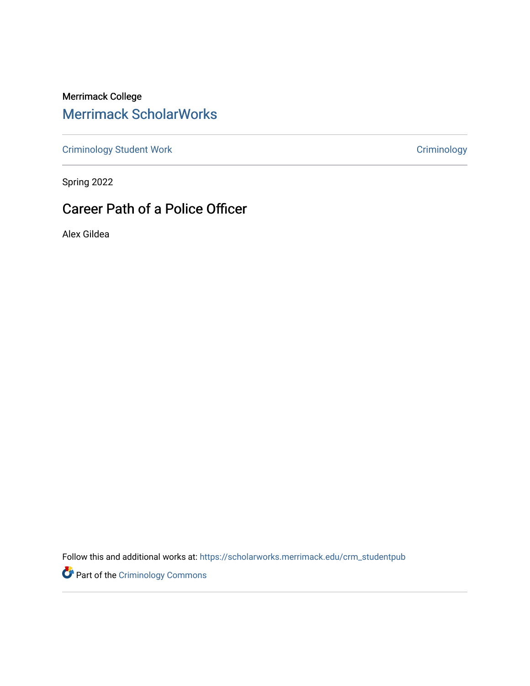Merrimack College [Merrimack ScholarWorks](https://scholarworks.merrimack.edu/) 

[Criminology Student Work](https://scholarworks.merrimack.edu/crm_studentpub) [Criminology](https://scholarworks.merrimack.edu/crm) Criminology

Spring 2022

# Career Path of a Police Officer

Alex Gildea

Follow this and additional works at: [https://scholarworks.merrimack.edu/crm\\_studentpub](https://scholarworks.merrimack.edu/crm_studentpub?utm_source=scholarworks.merrimack.edu%2Fcrm_studentpub%2F49&utm_medium=PDF&utm_campaign=PDFCoverPages) 

Part of the [Criminology Commons](https://network.bepress.com/hgg/discipline/417?utm_source=scholarworks.merrimack.edu%2Fcrm_studentpub%2F49&utm_medium=PDF&utm_campaign=PDFCoverPages)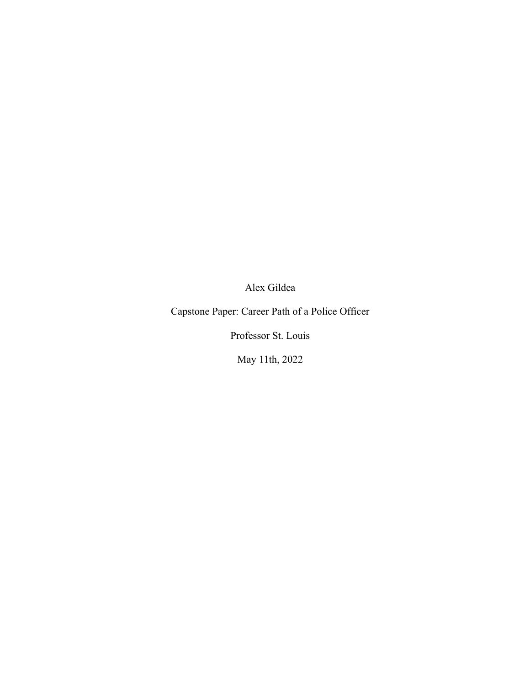Alex Gildea

Capstone Paper: Career Path of a Police Officer

Professor St. Louis

May 11th, 2022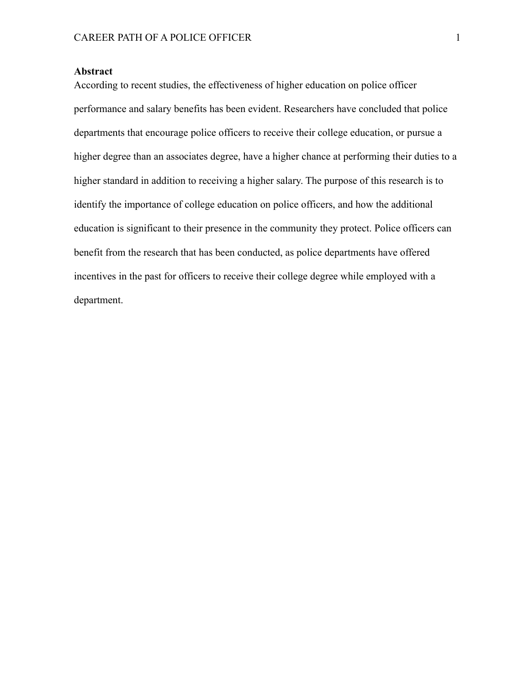# **Abstract**

According to recent studies, the effectiveness of higher education on police officer performance and salary benefits has been evident. Researchers have concluded that police departments that encourage police officers to receive their college education, or pursue a higher degree than an associates degree, have a higher chance at performing their duties to a higher standard in addition to receiving a higher salary. The purpose of this research is to identify the importance of college education on police officers, and how the additional education is significant to their presence in the community they protect. Police officers can benefit from the research that has been conducted, as police departments have offered incentives in the past for officers to receive their college degree while employed with a department.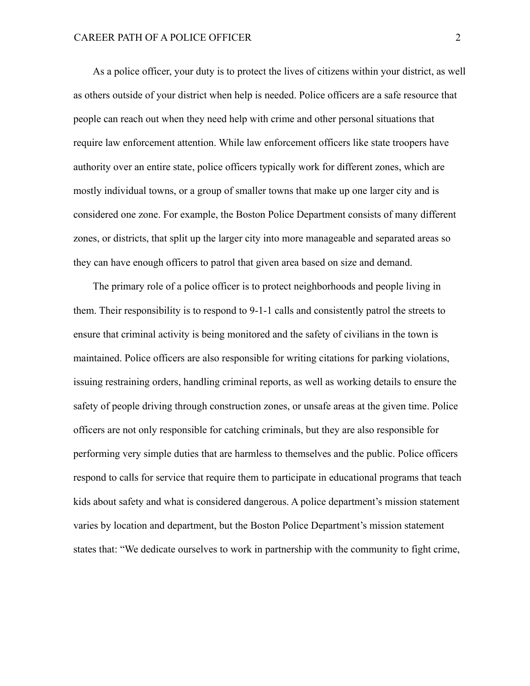As a police officer, your duty is to protect the lives of citizens within your district, as well as others outside of your district when help is needed. Police officers are a safe resource that people can reach out when they need help with crime and other personal situations that require law enforcement attention. While law enforcement officers like state troopers have authority over an entire state, police officers typically work for different zones, which are mostly individual towns, or a group of smaller towns that make up one larger city and is considered one zone. For example, the Boston Police Department consists of many different zones, or districts, that split up the larger city into more manageable and separated areas so they can have enough officers to patrol that given area based on size and demand.

The primary role of a police officer is to protect neighborhoods and people living in them. Their responsibility is to respond to 9-1-1 calls and consistently patrol the streets to ensure that criminal activity is being monitored and the safety of civilians in the town is maintained. Police officers are also responsible for writing citations for parking violations, issuing restraining orders, handling criminal reports, as well as working details to ensure the safety of people driving through construction zones, or unsafe areas at the given time. Police officers are not only responsible for catching criminals, but they are also responsible for performing very simple duties that are harmless to themselves and the public. Police officers respond to calls for service that require them to participate in educational programs that teach kids about safety and what is considered dangerous. A police department's mission statement varies by location and department, but the Boston Police Department's mission statement states that: "We dedicate ourselves to work in partnership with the community to fight crime,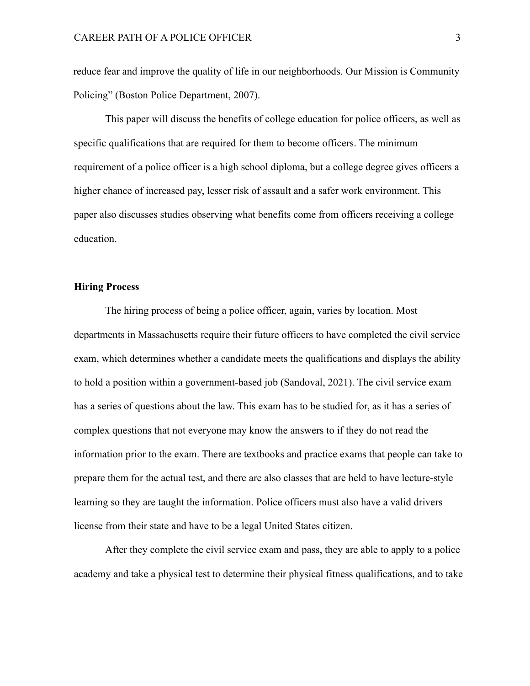reduce fear and improve the quality of life in our neighborhoods. Our Mission is Community Policing" (Boston Police Department, 2007).

This paper will discuss the benefits of college education for police officers, as well as specific qualifications that are required for them to become officers. The minimum requirement of a police officer is a high school diploma, but a college degree gives officers a higher chance of increased pay, lesser risk of assault and a safer work environment. This paper also discusses studies observing what benefits come from officers receiving a college education.

## **Hiring Process**

The hiring process of being a police officer, again, varies by location. Most departments in Massachusetts require their future officers to have completed the civil service exam, which determines whether a candidate meets the qualifications and displays the ability to hold a position within a government-based job (Sandoval, 2021). The civil service exam has a series of questions about the law. This exam has to be studied for, as it has a series of complex questions that not everyone may know the answers to if they do not read the information prior to the exam. There are textbooks and practice exams that people can take to prepare them for the actual test, and there are also classes that are held to have lecture-style learning so they are taught the information. Police officers must also have a valid drivers license from their state and have to be a legal United States citizen.

After they complete the civil service exam and pass, they are able to apply to a police academy and take a physical test to determine their physical fitness qualifications, and to take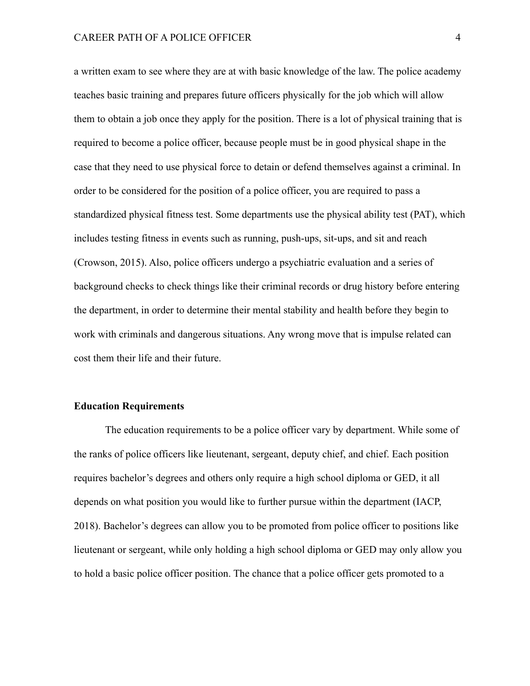a written exam to see where they are at with basic knowledge of the law. The police academy teaches basic training and prepares future officers physically for the job which will allow them to obtain a job once they apply for the position. There is a lot of physical training that is required to become a police officer, because people must be in good physical shape in the case that they need to use physical force to detain or defend themselves against a criminal. In order to be considered for the position of a police officer, you are required to pass a standardized physical fitness test. Some departments use the physical ability test (PAT), which includes testing fitness in events such as running, push-ups, sit-ups, and sit and reach (Crowson, 2015). Also, police officers undergo a psychiatric evaluation and a series of background checks to check things like their criminal records or drug history before entering the department, in order to determine their mental stability and health before they begin to work with criminals and dangerous situations. Any wrong move that is impulse related can cost them their life and their future.

#### **Education Requirements**

The education requirements to be a police officer vary by department. While some of the ranks of police officers like lieutenant, sergeant, deputy chief, and chief. Each position requires bachelor's degrees and others only require a high school diploma or GED, it all depends on what position you would like to further pursue within the department (IACP, 2018). Bachelor's degrees can allow you to be promoted from police officer to positions like lieutenant or sergeant, while only holding a high school diploma or GED may only allow you to hold a basic police officer position. The chance that a police officer gets promoted to a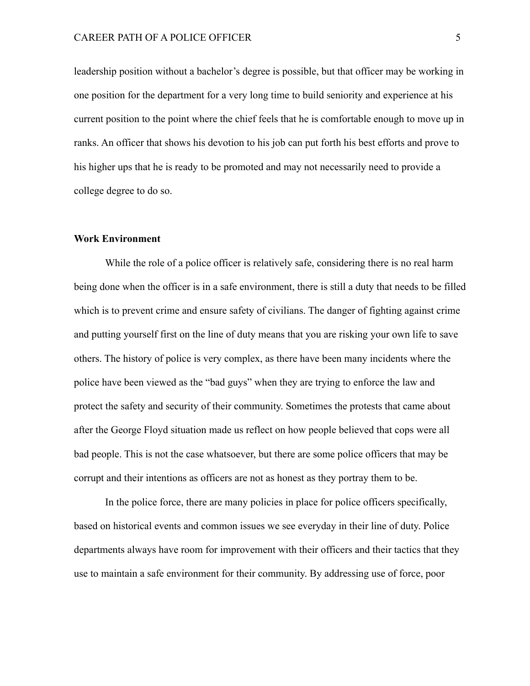leadership position without a bachelor's degree is possible, but that officer may be working in one position for the department for a very long time to build seniority and experience at his current position to the point where the chief feels that he is comfortable enough to move up in ranks. An officer that shows his devotion to his job can put forth his best efforts and prove to his higher ups that he is ready to be promoted and may not necessarily need to provide a college degree to do so.

## **Work Environment**

While the role of a police officer is relatively safe, considering there is no real harm being done when the officer is in a safe environment, there is still a duty that needs to be filled which is to prevent crime and ensure safety of civilians. The danger of fighting against crime and putting yourself first on the line of duty means that you are risking your own life to save others. The history of police is very complex, as there have been many incidents where the police have been viewed as the "bad guys" when they are trying to enforce the law and protect the safety and security of their community. Sometimes the protests that came about after the George Floyd situation made us reflect on how people believed that cops were all bad people. This is not the case whatsoever, but there are some police officers that may be corrupt and their intentions as officers are not as honest as they portray them to be.

In the police force, there are many policies in place for police officers specifically, based on historical events and common issues we see everyday in their line of duty. Police departments always have room for improvement with their officers and their tactics that they use to maintain a safe environment for their community. By addressing use of force, poor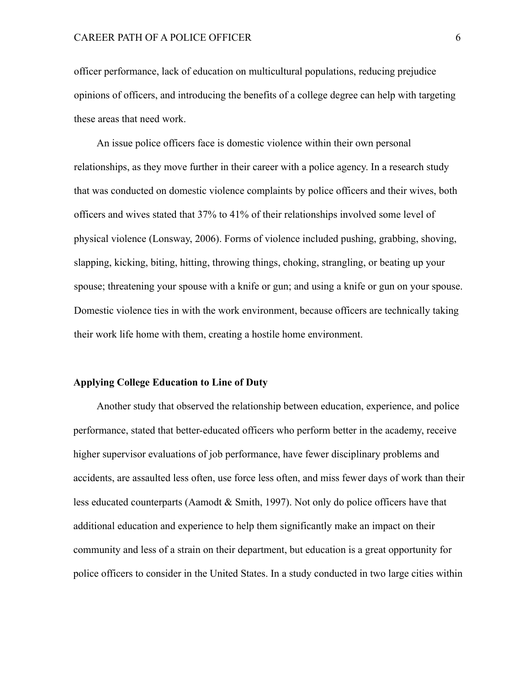officer performance, lack of education on multicultural populations, reducing prejudice opinions of officers, and introducing the benefits of a college degree can help with targeting these areas that need work.

An issue police officers face is domestic violence within their own personal relationships, as they move further in their career with a police agency. In a research study that was conducted on domestic violence complaints by police officers and their wives, both officers and wives stated that 37% to 41% of their relationships involved some level of physical violence (Lonsway, 2006). Forms of violence included pushing, grabbing, shoving, slapping, kicking, biting, hitting, throwing things, choking, strangling, or beating up your spouse; threatening your spouse with a knife or gun; and using a knife or gun on your spouse. Domestic violence ties in with the work environment, because officers are technically taking their work life home with them, creating a hostile home environment.

#### **Applying College Education to Line of Duty**

Another study that observed the relationship between education, experience, and police performance, stated that better-educated officers who perform better in the academy, receive higher supervisor evaluations of job performance, have fewer disciplinary problems and accidents, are assaulted less often, use force less often, and miss fewer days of work than their less educated counterparts (Aamodt & Smith, 1997). Not only do police officers have that additional education and experience to help them significantly make an impact on their community and less of a strain on their department, but education is a great opportunity for police officers to consider in the United States. In a study conducted in two large cities within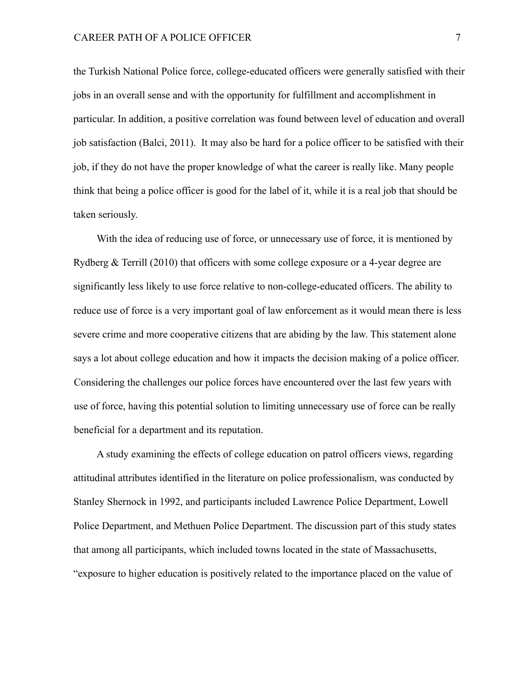the Turkish National Police force, college-educated officers were generally satisfied with their jobs in an overall sense and with the opportunity for fulfillment and accomplishment in particular. In addition, a positive correlation was found between level of education and overall job satisfaction (Balci, 2011). It may also be hard for a police officer to be satisfied with their job, if they do not have the proper knowledge of what the career is really like. Many people think that being a police officer is good for the label of it, while it is a real job that should be taken seriously.

With the idea of reducing use of force, or unnecessary use of force, it is mentioned by Rydberg  $&$  Terrill (2010) that officers with some college exposure or a 4-year degree are significantly less likely to use force relative to non-college-educated officers. The ability to reduce use of force is a very important goal of law enforcement as it would mean there is less severe crime and more cooperative citizens that are abiding by the law. This statement alone says a lot about college education and how it impacts the decision making of a police officer. Considering the challenges our police forces have encountered over the last few years with use of force, having this potential solution to limiting unnecessary use of force can be really beneficial for a department and its reputation.

A study examining the effects of college education on patrol officers views, regarding attitudinal attributes identified in the literature on police professionalism, was conducted by Stanley Shernock in 1992, and participants included Lawrence Police Department, Lowell Police Department, and Methuen Police Department. The discussion part of this study states that among all participants, which included towns located in the state of Massachusetts, "exposure to higher education is positively related to the importance placed on the value of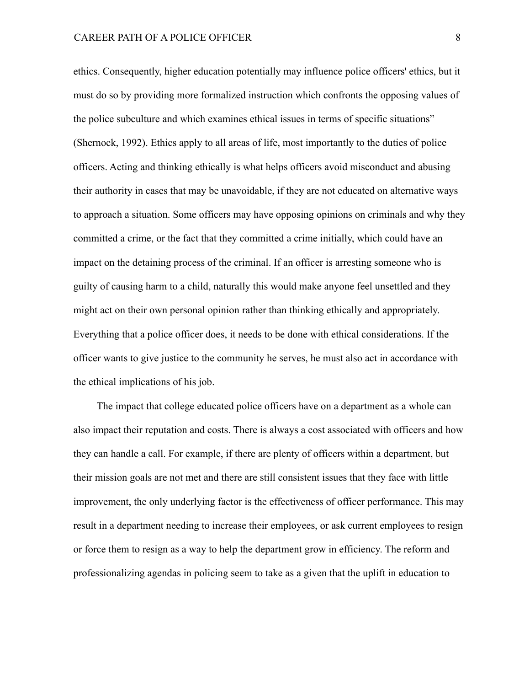ethics. Consequently, higher education potentially may influence police officers' ethics, but it must do so by providing more formalized instruction which confronts the opposing values of the police subculture and which examines ethical issues in terms of specific situations" (Shernock, 1992). Ethics apply to all areas of life, most importantly to the duties of police officers. Acting and thinking ethically is what helps officers avoid misconduct and abusing their authority in cases that may be unavoidable, if they are not educated on alternative ways to approach a situation. Some officers may have opposing opinions on criminals and why they committed a crime, or the fact that they committed a crime initially, which could have an impact on the detaining process of the criminal. If an officer is arresting someone who is guilty of causing harm to a child, naturally this would make anyone feel unsettled and they might act on their own personal opinion rather than thinking ethically and appropriately. Everything that a police officer does, it needs to be done with ethical considerations. If the officer wants to give justice to the community he serves, he must also act in accordance with the ethical implications of his job.

The impact that college educated police officers have on a department as a whole can also impact their reputation and costs. There is always a cost associated with officers and how they can handle a call. For example, if there are plenty of officers within a department, but their mission goals are not met and there are still consistent issues that they face with little improvement, the only underlying factor is the effectiveness of officer performance. This may result in a department needing to increase their employees, or ask current employees to resign or force them to resign as a way to help the department grow in efficiency. The reform and professionalizing agendas in policing seem to take as a given that the uplift in education to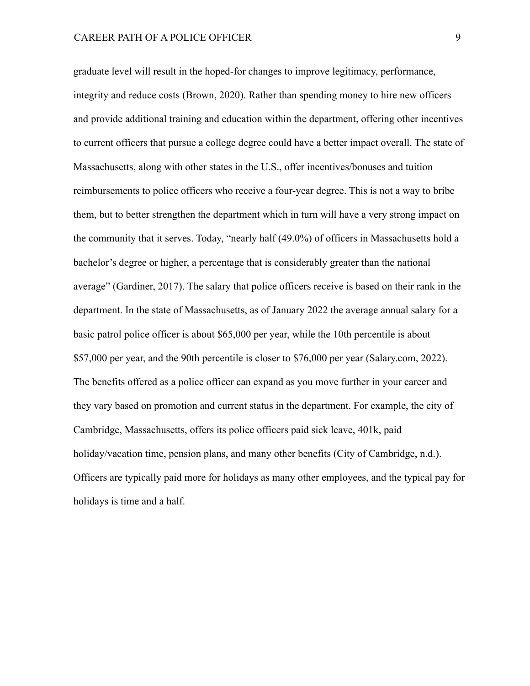graduate level will result in the hoped-for changes to improve legitimacy, performance, integrity and reduce costs (Brown, 2020). Rather than spending money to hire new officers and provide additional training and education within the department, offering other incentives to current officers that pursue a college degree could have a better impact overall. The state of Massachusetts, along with other states in the U.S., offer incentives/bonuses and tuition reimbursements to police officers who receive a four-year degree. This is not a way to bribe them, but to better strengthen the department which in turn will have a very strong impact on the community that it serves. Today, "nearly half (49.0%) of officers in Massachusetts hold a bachelor's degree or higher, a percentage that is considerably greater than the national average" (Gardiner, 2017). The salary that police officers receive is based on their rank in the department. In the state of Massachusetts, as of January 2022 the average annual salary for a basic patrol police officer is about \$65,000 per year, while the 10th percentile is about \$57,000 per year, and the 90th percentile is closer to \$76,000 per year (Salary.com, 2022). The benefits offered as a police officer can expand as you move further in your career and they vary based on promotion and current status in the department. For example, the city of Cambridge, Massachusetts, offers its police officers paid sick leave, 401k, paid holiday/vacation time, pension plans, and many other benefits (City of Cambridge, n.d.). Officers are typically paid more for holidays as many other employees, and the typical pay for holidays is time and a half.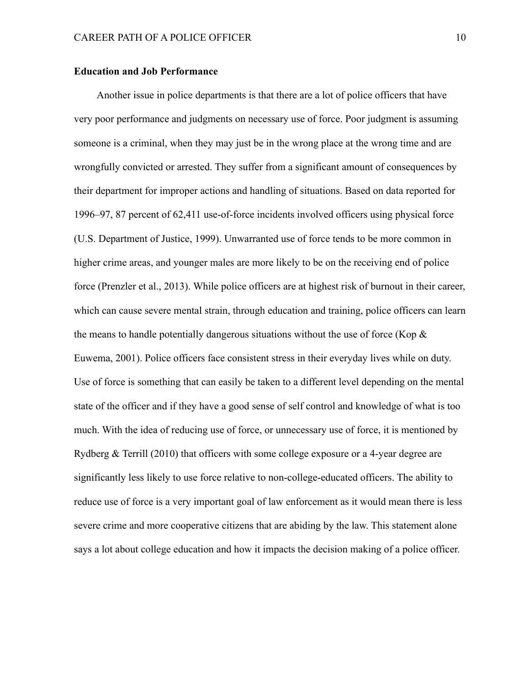# **Education and Job Performance**

Another issue in police departments is that there are a lot of police officers that have very poor performance and judgments on necessary use of force. Poor judgment is assuming someone is a criminal, when they may just be in the wrong place at the wrong time and are wrongfully convicted or arrested. They suffer from a significant amount of consequences by their department for improper actions and handling of situations. Based on data reported for 1996–97, 87 percent of 62,411 use-of-force incidents involved officers using physical force (U.S. Department of Justice, 1999). Unwarranted use of force tends to be more common in higher crime areas, and younger males are more likely to be on the receiving end of police force (Prenzler et al., 2013). While police officers are at highest risk of burnout in their career, which can cause severe mental strain, through education and training, police officers can learn the means to handle potentially dangerous situations without the use of force (Kop  $\&$ Euwema, 2001). Police officers face consistent stress in their everyday lives while on duty. Use of force is something that can easily be taken to a different level depending on the mental state of the officer and if they have a good sense of self control and knowledge of what is too much. With the idea of reducing use of force, or unnecessary use of force, it is mentioned by Rydberg & Terrill (2010) that officers with some college exposure or a 4-year degree are significantly less likely to use force relative to non-college-educated officers. The ability to reduce use of force is a very important goal of law enforcement as it would mean there is less severe crime and more cooperative citizens that are abiding by the law. This statement alone says a lot about college education and how it impacts the decision making of a police officer.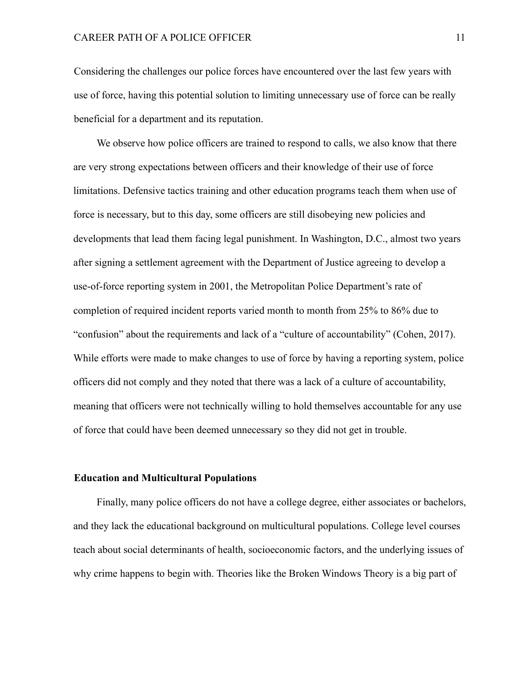Considering the challenges our police forces have encountered over the last few years with use of force, having this potential solution to limiting unnecessary use of force can be really beneficial for a department and its reputation.

We observe how police officers are trained to respond to calls, we also know that there are very strong expectations between officers and their knowledge of their use of force limitations. Defensive tactics training and other education programs teach them when use of force is necessary, but to this day, some officers are still disobeying new policies and developments that lead them facing legal punishment. In Washington, D.C., almost two years after signing a settlement agreement with the Department of Justice agreeing to develop a use-of-force reporting system in 2001, the Metropolitan Police Department's rate of completion of required incident reports varied month to month from 25% to 86% due to "confusion" about the requirements and lack of a "culture of accountability" (Cohen, 2017). While efforts were made to make changes to use of force by having a reporting system, police officers did not comply and they noted that there was a lack of a culture of accountability, meaning that officers were not technically willing to hold themselves accountable for any use of force that could have been deemed unnecessary so they did not get in trouble.

## **Education and Multicultural Populations**

Finally, many police officers do not have a college degree, either associates or bachelors, and they lack the educational background on multicultural populations. College level courses teach about social determinants of health, socioeconomic factors, and the underlying issues of why crime happens to begin with. Theories like the Broken Windows Theory is a big part of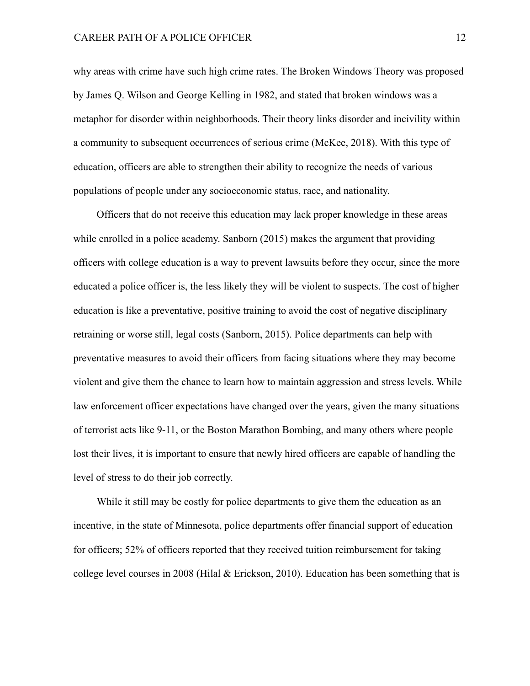why areas with crime have such high crime rates. The Broken Windows Theory was proposed by James Q. Wilson and George Kelling in 1982, and stated that broken windows was a metaphor for disorder within neighborhoods. Their theory links disorder and incivility within a community to subsequent occurrences of serious crime (McKee, 2018). With this type of education, officers are able to strengthen their ability to recognize the needs of various populations of people under any socioeconomic status, race, and nationality.

Officers that do not receive this education may lack proper knowledge in these areas while enrolled in a police academy. Sanborn (2015) makes the argument that providing officers with college education is a way to prevent lawsuits before they occur, since the more educated a police officer is, the less likely they will be violent to suspects. The cost of higher education is like a preventative, positive training to avoid the cost of negative disciplinary retraining or worse still, legal costs (Sanborn, 2015). Police departments can help with preventative measures to avoid their officers from facing situations where they may become violent and give them the chance to learn how to maintain aggression and stress levels. While law enforcement officer expectations have changed over the years, given the many situations of terrorist acts like 9-11, or the Boston Marathon Bombing, and many others where people lost their lives, it is important to ensure that newly hired officers are capable of handling the level of stress to do their job correctly.

While it still may be costly for police departments to give them the education as an incentive, in the state of Minnesota, police departments offer financial support of education for officers; 52% of officers reported that they received tuition reimbursement for taking college level courses in 2008 (Hilal & Erickson, 2010). Education has been something that is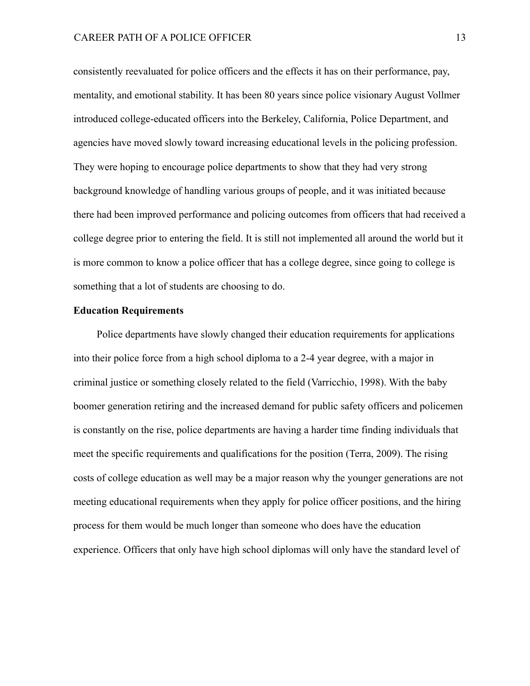consistently reevaluated for police officers and the effects it has on their performance, pay, mentality, and emotional stability. It has been 80 years since police visionary August Vollmer introduced college-educated officers into the Berkeley, California, Police Department, and agencies have moved slowly toward increasing educational levels in the policing profession. They were hoping to encourage police departments to show that they had very strong background knowledge of handling various groups of people, and it was initiated because there had been improved performance and policing outcomes from officers that had received a college degree prior to entering the field. It is still not implemented all around the world but it is more common to know a police officer that has a college degree, since going to college is something that a lot of students are choosing to do.

# **Education Requirements**

Police departments have slowly changed their education requirements for applications into their police force from a high school diploma to a 2-4 year degree, with a major in criminal justice or something closely related to the field (Varricchio, 1998). With the baby boomer generation retiring and the increased demand for public safety officers and policemen is constantly on the rise, police departments are having a harder time finding individuals that meet the specific requirements and qualifications for the position (Terra, 2009). The rising costs of college education as well may be a major reason why the younger generations are not meeting educational requirements when they apply for police officer positions, and the hiring process for them would be much longer than someone who does have the education experience. Officers that only have high school diplomas will only have the standard level of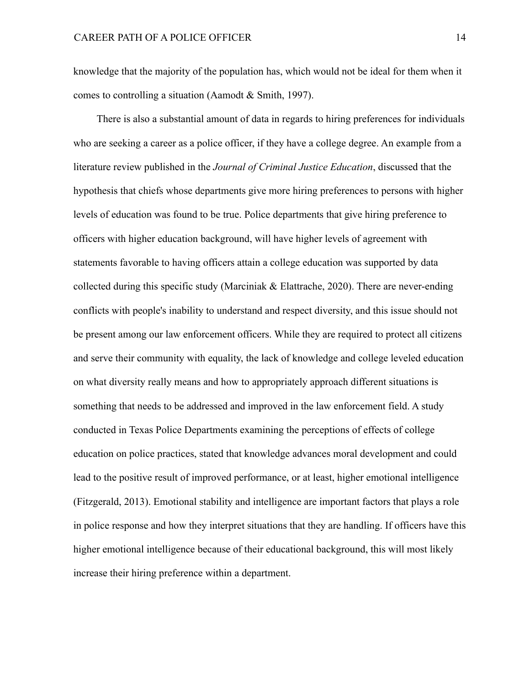knowledge that the majority of the population has, which would not be ideal for them when it comes to controlling a situation (Aamodt & Smith, 1997).

There is also a substantial amount of data in regards to hiring preferences for individuals who are seeking a career as a police officer, if they have a college degree. An example from a literature review published in the *Journal of Criminal Justice Education*, discussed that the hypothesis that chiefs whose departments give more hiring preferences to persons with higher levels of education was found to be true. Police departments that give hiring preference to officers with higher education background, will have higher levels of agreement with statements favorable to having officers attain a college education was supported by data collected during this specific study (Marciniak & Elattrache, 2020). There are never-ending conflicts with people's inability to understand and respect diversity, and this issue should not be present among our law enforcement officers. While they are required to protect all citizens and serve their community with equality, the lack of knowledge and college leveled education on what diversity really means and how to appropriately approach different situations is something that needs to be addressed and improved in the law enforcement field. A study conducted in Texas Police Departments examining the perceptions of effects of college education on police practices, stated that knowledge advances moral development and could lead to the positive result of improved performance, or at least, higher emotional intelligence (Fitzgerald, 2013). Emotional stability and intelligence are important factors that plays a role in police response and how they interpret situations that they are handling. If officers have this higher emotional intelligence because of their educational background, this will most likely increase their hiring preference within a department.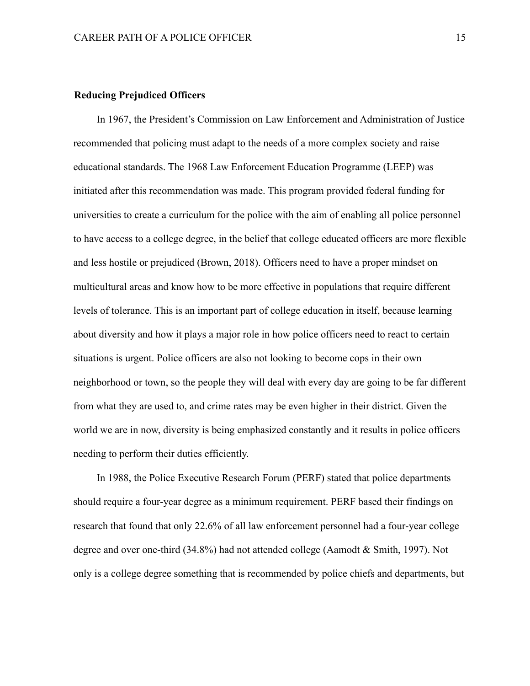# **Reducing Prejudiced Officers**

In 1967, the President's Commission on Law Enforcement and Administration of Justice recommended that policing must adapt to the needs of a more complex society and raise educational standards. The 1968 Law Enforcement Education Programme (LEEP) was initiated after this recommendation was made. This program provided federal funding for universities to create a curriculum for the police with the aim of enabling all police personnel to have access to a college degree, in the belief that college educated officers are more flexible and less hostile or prejudiced (Brown, 2018). Officers need to have a proper mindset on multicultural areas and know how to be more effective in populations that require different levels of tolerance. This is an important part of college education in itself, because learning about diversity and how it plays a major role in how police officers need to react to certain situations is urgent. Police officers are also not looking to become cops in their own neighborhood or town, so the people they will deal with every day are going to be far different from what they are used to, and crime rates may be even higher in their district. Given the world we are in now, diversity is being emphasized constantly and it results in police officers needing to perform their duties efficiently.

In 1988, the Police Executive Research Forum (PERF) stated that police departments should require a four-year degree as a minimum requirement. PERF based their findings on research that found that only 22.6% of all law enforcement personnel had a four-year college degree and over one-third (34.8%) had not attended college (Aamodt & Smith, 1997). Not only is a college degree something that is recommended by police chiefs and departments, but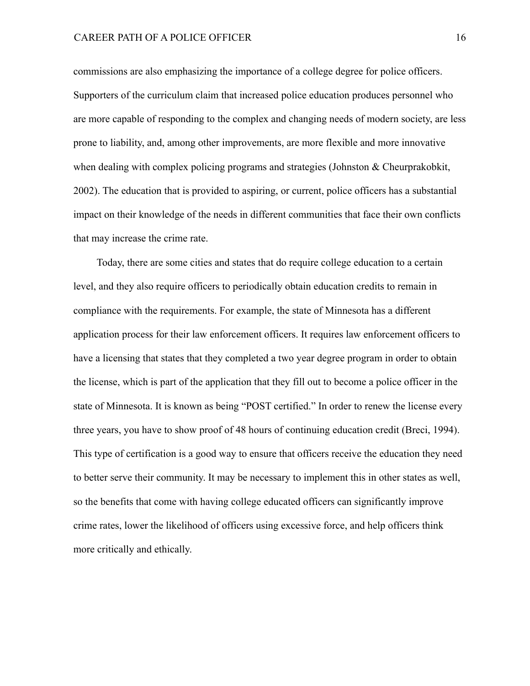commissions are also emphasizing the importance of a college degree for police officers. Supporters of the curriculum claim that increased police education produces personnel who are more capable of responding to the complex and changing needs of modern society, are less prone to liability, and, among other improvements, are more flexible and more innovative when dealing with complex policing programs and strategies (Johnston & Cheurprakobkit, 2002). The education that is provided to aspiring, or current, police officers has a substantial impact on their knowledge of the needs in different communities that face their own conflicts that may increase the crime rate.

Today, there are some cities and states that do require college education to a certain level, and they also require officers to periodically obtain education credits to remain in compliance with the requirements. For example, the state of Minnesota has a different application process for their law enforcement officers. It requires law enforcement officers to have a licensing that states that they completed a two year degree program in order to obtain the license, which is part of the application that they fill out to become a police officer in the state of Minnesota. It is known as being "POST certified." In order to renew the license every three years, you have to show proof of 48 hours of continuing education credit (Breci, 1994). This type of certification is a good way to ensure that officers receive the education they need to better serve their community. It may be necessary to implement this in other states as well, so the benefits that come with having college educated officers can significantly improve crime rates, lower the likelihood of officers using excessive force, and help officers think more critically and ethically.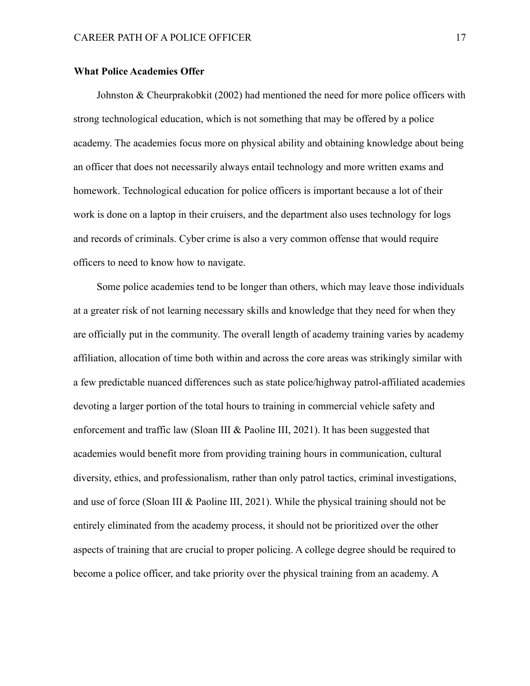#### **What Police Academies Offer**

Johnston & Cheurprakobkit (2002) had mentioned the need for more police officers with strong technological education, which is not something that may be offered by a police academy. The academies focus more on physical ability and obtaining knowledge about being an officer that does not necessarily always entail technology and more written exams and homework. Technological education for police officers is important because a lot of their work is done on a laptop in their cruisers, and the department also uses technology for logs and records of criminals. Cyber crime is also a very common offense that would require officers to need to know how to navigate.

Some police academies tend to be longer than others, which may leave those individuals at a greater risk of not learning necessary skills and knowledge that they need for when they are officially put in the community. The overall length of academy training varies by academy affiliation, allocation of time both within and across the core areas was strikingly similar with a few predictable nuanced differences such as state police/highway patrol-affiliated academies devoting a larger portion of the total hours to training in commercial vehicle safety and enforcement and traffic law (Sloan III & Paoline III, 2021). It has been suggested that academies would benefit more from providing training hours in communication, cultural diversity, ethics, and professionalism, rather than only patrol tactics, criminal investigations, and use of force (Sloan III & Paoline III, 2021). While the physical training should not be entirely eliminated from the academy process, it should not be prioritized over the other aspects of training that are crucial to proper policing. A college degree should be required to become a police officer, and take priority over the physical training from an academy. A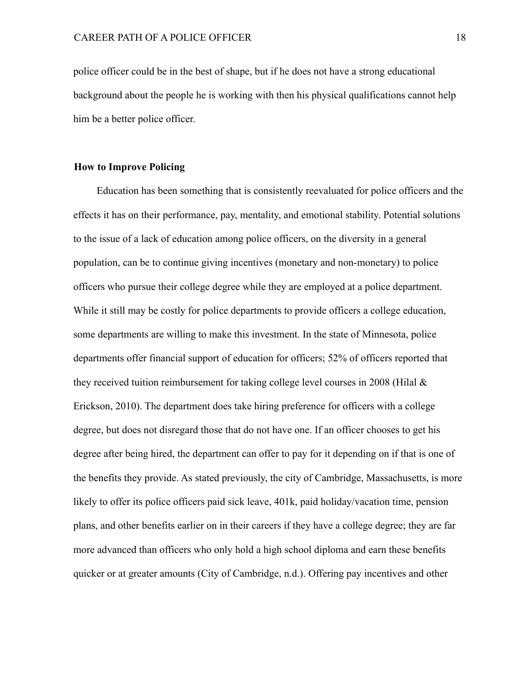police officer could be in the best of shape, but if he does not have a strong educational background about the people he is working with then his physical qualifications cannot help him be a better police officer.

## **How to Improve Policing**

Education has been something that is consistently reevaluated for police officers and the effects it has on their performance, pay, mentality, and emotional stability. Potential solutions to the issue of a lack of education among police officers, on the diversity in a general population, can be to continue giving incentives (monetary and non-monetary) to police officers who pursue their college degree while they are employed at a police department. While it still may be costly for police departments to provide officers a college education, some departments are willing to make this investment. In the state of Minnesota, police departments offer financial support of education for officers; 52% of officers reported that they received tuition reimbursement for taking college level courses in 2008 (Hilal & Erickson, 2010). The department does take hiring preference for officers with a college degree, but does not disregard those that do not have one. If an officer chooses to get his degree after being hired, the department can offer to pay for it depending on if that is one of the benefits they provide. As stated previously, the city of Cambridge, Massachusetts, is more likely to offer its police officers paid sick leave, 401k, paid holiday/vacation time, pension plans, and other benefits earlier on in their careers if they have a college degree; they are far more advanced than officers who only hold a high school diploma and earn these benefits quicker or at greater amounts (City of Cambridge, n.d.). Offering pay incentives and other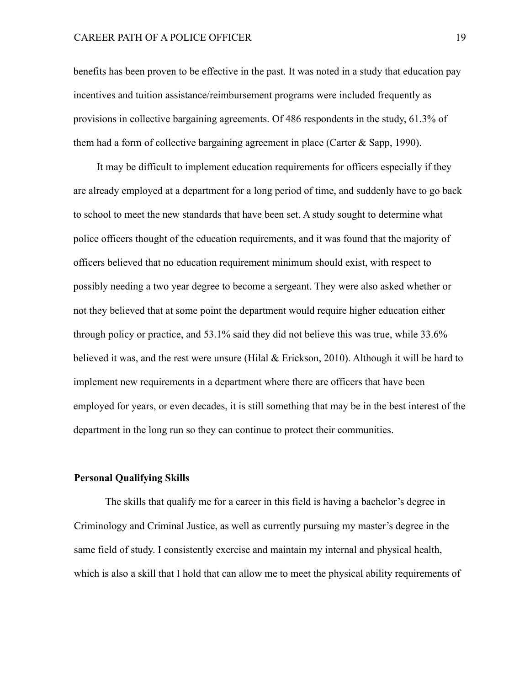benefits has been proven to be effective in the past. It was noted in a study that education pay incentives and tuition assistance/reimbursement programs were included frequently as provisions in collective bargaining agreements. Of 486 respondents in the study, 61.3% of them had a form of collective bargaining agreement in place (Carter  $&$  Sapp, 1990).

It may be difficult to implement education requirements for officers especially if they are already employed at a department for a long period of time, and suddenly have to go back to school to meet the new standards that have been set. A study sought to determine what police officers thought of the education requirements, and it was found that the majority of officers believed that no education requirement minimum should exist, with respect to possibly needing a two year degree to become a sergeant. They were also asked whether or not they believed that at some point the department would require higher education either through policy or practice, and 53.1% said they did not believe this was true, while 33.6% believed it was, and the rest were unsure (Hilal  $&$  Erickson, 2010). Although it will be hard to implement new requirements in a department where there are officers that have been employed for years, or even decades, it is still something that may be in the best interest of the department in the long run so they can continue to protect their communities.

## **Personal Qualifying Skills**

The skills that qualify me for a career in this field is having a bachelor's degree in Criminology and Criminal Justice, as well as currently pursuing my master's degree in the same field of study. I consistently exercise and maintain my internal and physical health, which is also a skill that I hold that can allow me to meet the physical ability requirements of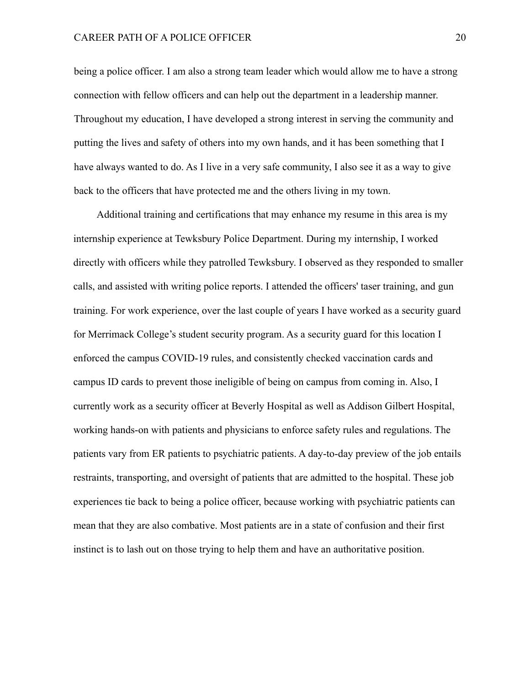being a police officer. I am also a strong team leader which would allow me to have a strong connection with fellow officers and can help out the department in a leadership manner. Throughout my education, I have developed a strong interest in serving the community and putting the lives and safety of others into my own hands, and it has been something that I have always wanted to do. As I live in a very safe community, I also see it as a way to give back to the officers that have protected me and the others living in my town.

Additional training and certifications that may enhance my resume in this area is my internship experience at Tewksbury Police Department. During my internship, I worked directly with officers while they patrolled Tewksbury. I observed as they responded to smaller calls, and assisted with writing police reports. I attended the officers' taser training, and gun training. For work experience, over the last couple of years I have worked as a security guard for Merrimack College's student security program. As a security guard for this location I enforced the campus COVID-19 rules, and consistently checked vaccination cards and campus ID cards to prevent those ineligible of being on campus from coming in. Also, I currently work as a security officer at Beverly Hospital as well as Addison Gilbert Hospital, working hands-on with patients and physicians to enforce safety rules and regulations. The patients vary from ER patients to psychiatric patients. A day-to-day preview of the job entails restraints, transporting, and oversight of patients that are admitted to the hospital. These job experiences tie back to being a police officer, because working with psychiatric patients can mean that they are also combative. Most patients are in a state of confusion and their first instinct is to lash out on those trying to help them and have an authoritative position.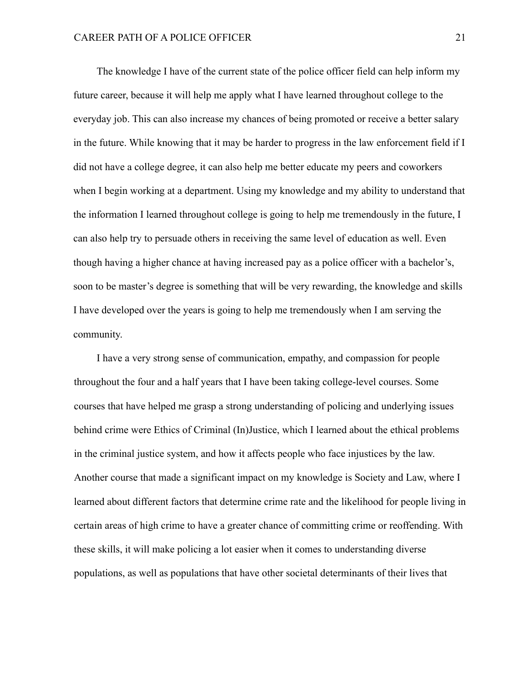The knowledge I have of the current state of the police officer field can help inform my future career, because it will help me apply what I have learned throughout college to the everyday job. This can also increase my chances of being promoted or receive a better salary in the future. While knowing that it may be harder to progress in the law enforcement field if I did not have a college degree, it can also help me better educate my peers and coworkers when I begin working at a department. Using my knowledge and my ability to understand that the information I learned throughout college is going to help me tremendously in the future, I can also help try to persuade others in receiving the same level of education as well. Even though having a higher chance at having increased pay as a police officer with a bachelor's, soon to be master's degree is something that will be very rewarding, the knowledge and skills I have developed over the years is going to help me tremendously when I am serving the community.

I have a very strong sense of communication, empathy, and compassion for people throughout the four and a half years that I have been taking college-level courses. Some courses that have helped me grasp a strong understanding of policing and underlying issues behind crime were Ethics of Criminal (In)Justice, which I learned about the ethical problems in the criminal justice system, and how it affects people who face injustices by the law. Another course that made a significant impact on my knowledge is Society and Law, where I learned about different factors that determine crime rate and the likelihood for people living in certain areas of high crime to have a greater chance of committing crime or reoffending. With these skills, it will make policing a lot easier when it comes to understanding diverse populations, as well as populations that have other societal determinants of their lives that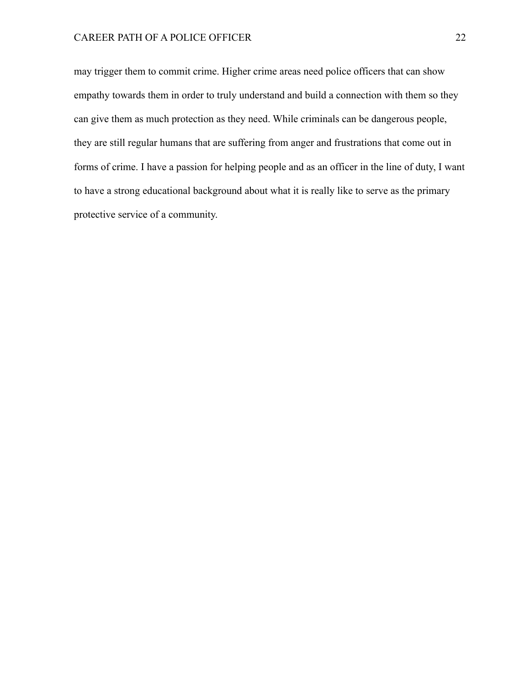## CAREER PATH OF A POLICE OFFICER 22

may trigger them to commit crime. Higher crime areas need police officers that can show empathy towards them in order to truly understand and build a connection with them so they can give them as much protection as they need. While criminals can be dangerous people, they are still regular humans that are suffering from anger and frustrations that come out in forms of crime. I have a passion for helping people and as an officer in the line of duty, I want to have a strong educational background about what it is really like to serve as the primary protective service of a community.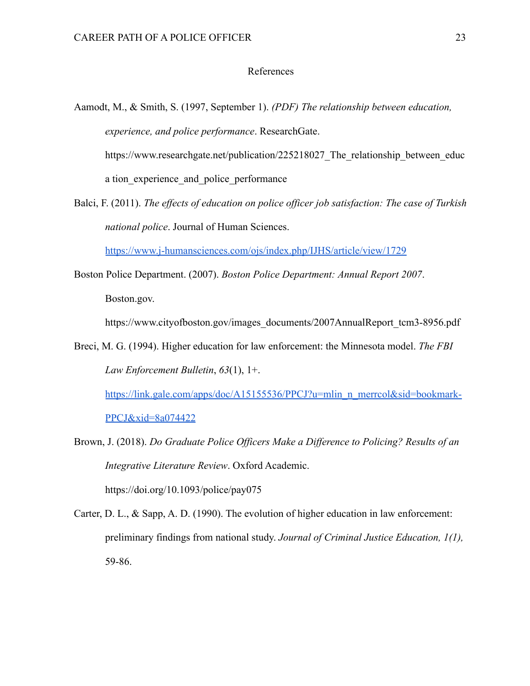## References

Aamodt, M., & Smith, S. (1997, September 1). *(PDF) The relationship between education, experience, and police performance*. ResearchGate. https://www.researchgate.net/publication/225218027 The relationship between educ a tion experience and police performance

Balci, F. (2011). *The effects of education on police officer job satisfaction: The case of Turkish national police*. Journal of Human Sciences.

<https://www.j-humansciences.com/ojs/index.php/IJHS/article/view/1729>

Boston Police Department. (2007). *Boston Police Department: Annual Report 2007*. Boston.gov.

https://www.cityofboston.gov/images\_documents/2007AnnualReport\_tcm3-8956.pdf

Breci, M. G. (1994). Higher education for law enforcement: the Minnesota model. *The FBI Law Enforcement Bulletin*, *63*(1), 1+.

[https://link.gale.com/apps/doc/A15155536/PPCJ?u=mlin\\_n\\_merrcol&sid=bookmark-](https://link.gale.com/apps/doc/A15155536/PPCJ?u=mlin_n_merrcol&sid=bookmark-PPCJ&xid=8a074422)[PPCJ&xid=8a074422](https://link.gale.com/apps/doc/A15155536/PPCJ?u=mlin_n_merrcol&sid=bookmark-PPCJ&xid=8a074422)

- Brown, J. (2018). *Do Graduate Police Officers Make a Difference to Policing? Results of an Integrative Literature Review*. Oxford Academic. https://doi.org/10.1093/police/pay075
- Carter, D. L., & Sapp, A. D. (1990). The evolution of higher education in law enforcement: preliminary findings from national study. *Journal of Criminal Justice Education, 1(1),* 59-86.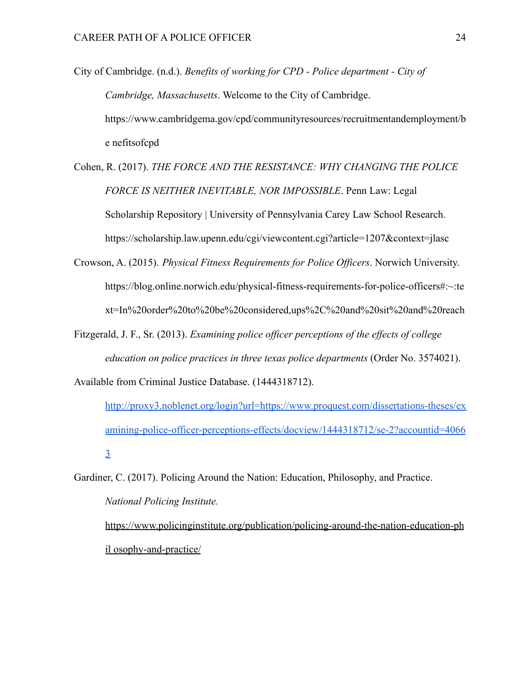- City of Cambridge. (n.d.). *Benefits of working for CPD Police department City of Cambridge, Massachusetts*. Welcome to the City of Cambridge. https://www.cambridgema.gov/cpd/communityresources/recruitmentandemployment/b e nefitsofcpd
- Cohen, R. (2017). *THE FORCE AND THE RESISTANCE: WHY CHANGING THE POLICE FORCE IS NEITHER INEVITABLE, NOR IMPOSSIBLE*. Penn Law: Legal Scholarship Repository | University of Pennsylvania Carey Law School Research. <https://scholarship.law.upenn.edu/cgi/viewcontent.cgi?article=1207&context=jlasc>
- Crowson, A. (2015). *Physical Fitness Requirements for Police Officers*. Norwich University. [https://blog.online.norwich.edu/physical-fitness-requirements-for-police-officers#:~:te](https://blog.online.norwich.edu/physical-fitness-requirements-for-police-officers#:~:text=In%20order%20to%20be%20considered,ups%2C%20and%20sit%20and%20reach) [xt=In%20order%20to%20be%20considered,ups%2C%20and%20sit%20and%20reach](https://blog.online.norwich.edu/physical-fitness-requirements-for-police-officers#:~:text=In%20order%20to%20be%20considered,ups%2C%20and%20sit%20and%20reach)
- Fitzgerald, J. F., Sr. (2013). *Examining police officer perceptions of the effects of college education on police practices in three texas police departments* (Order No. 3574021).

Available from Criminal Justice Database. (1444318712).

http://proxy3.noblenet.org/login?url=https://www.proquest.com/dissertations-theses/ex amining-police-officer-perceptions-effects/docview/1444318712/se-2?accountid=4066 3

Gardiner, C. (2017). Policing Around the Nation: Education, Philosophy, and Practice. *National Policing Institute.* https://www.policinginstitute.org/publication/policing-around-the-nation-education-ph

il osophy-and-practice/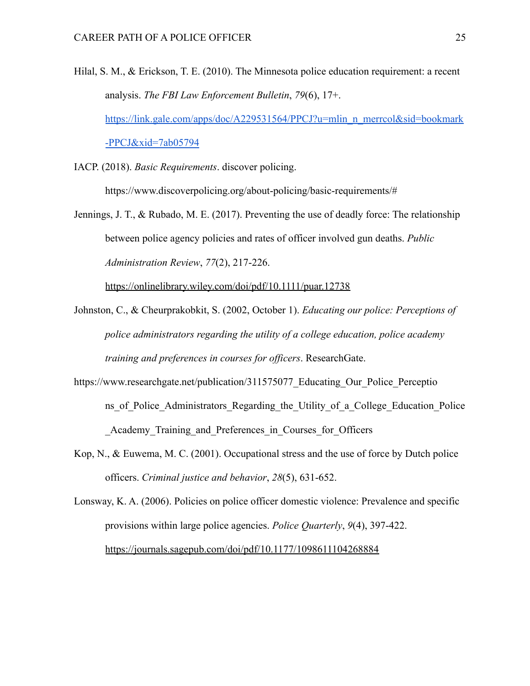- Hilal, S. M., & Erickson, T. E. (2010). The Minnesota police education requirement: a recent analysis. *The FBI Law Enforcement Bulletin*, *79*(6), 17+. https://link.gale.com/apps/doc/A229531564/PPCJ?u=mlin\_n\_merrcol&sid=bookmark -PPCJ&xid=7ab05794
- IACP. (2018). *Basic Requirements*. discover policing.

https://www.discoverpolicing.org/about-policing/basic-requirements/#

Jennings, J. T., & Rubado, M. E. (2017). Preventing the use of deadly force: The relationship between police agency policies and rates of officer involved gun deaths. *Public Administration Review*, *77*(2), 217-226.

https://onlinelibrary.wiley.com/doi/pdf/10.1111/puar.12738

- Johnston, C., & Cheurprakobkit, S. (2002, October 1). *Educating our police: Perceptions of police administrators regarding the utility of a college education, police academy training and preferences in courses for officers*. ResearchGate.
- https://www.researchgate.net/publication/311575077\_Educating\_Our\_Police\_Perceptio ns of Police Administrators Regarding the Utility of a College Education Police Academy Training and Preferences in Courses for Officers
- Kop, N., & Euwema, M. C. (2001). Occupational stress and the use of force by Dutch police officers. *Criminal justice and behavior*, *28*(5), 631-652.

Lonsway, K. A. (2006). Policies on police officer domestic violence: Prevalence and specific provisions within large police agencies. *Police Quarterly*, *9*(4), 397-422. https://journals.sagepub.com/doi/pdf/10.1177/1098611104268884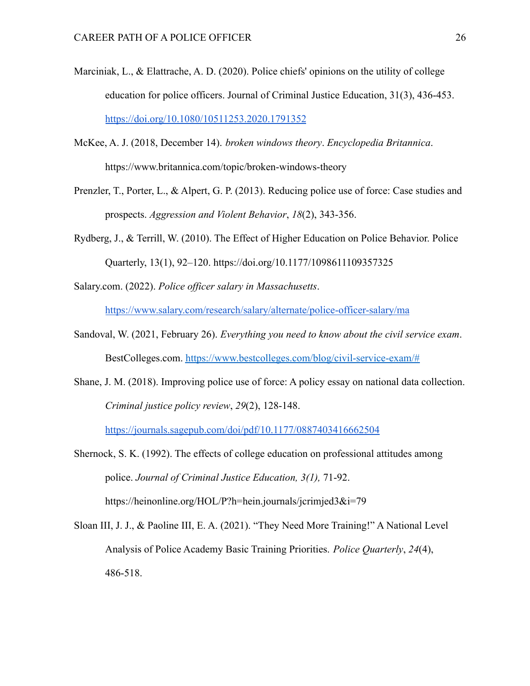- Marciniak, L., & Elattrache, A. D. (2020). Police chiefs' opinions on the utility of college education for police officers. Journal of Criminal Justice Education, 31(3), 436-453. <https://doi.org/10.1080/10511253.2020.1791352>
- McKee, A. J. (2018, December 14). *broken windows theory*. *Encyclopedia Britannica*. https://www.britannica.com/topic/broken-windows-theory
- Prenzler, T., Porter, L., & Alpert, G. P. (2013). Reducing police use of force: Case studies and prospects. *Aggression and Violent Behavior*, *18*(2), 343-356.
- Rydberg, J., & Terrill, W. (2010). The Effect of Higher Education on Police Behavior. Police Quarterly, 13(1), 92–120. https://doi.org/10.1177/1098611109357325

Salary.com. (2022). *Police officer salary in Massachusetts*.

<https://www.salary.com/research/salary/alternate/police-officer-salary/ma>

- Sandoval, W. (2021, February 26). *Everything you need to know about the civil service exam*. BestColleges.com. [https://www.bestcolleges.com/blog/civil-service-exam/#](https://www.bestcolleges.com/blog/civil-service-exam/)
- Shane, J. M. (2018). Improving police use of force: A policy essay on national data collection. *Criminal justice policy review*, *29*(2), 128-148.

https://journals.sagepub.com/doi/pdf/10.1177/0887403416662504

Shernock, S. K. (1992). The effects of college education on professional attitudes among police. *Journal of Criminal Justice Education, 3(1),* 71-92. https://heinonline.org/HOL/P?h=hein.journals/jcrimjed3&i=79

Sloan III, J. J., & Paoline III, E. A. (2021). "They Need More Training!" A National Level Analysis of Police Academy Basic Training Priorities. *Police Quarterly*, *24*(4), 486-518.